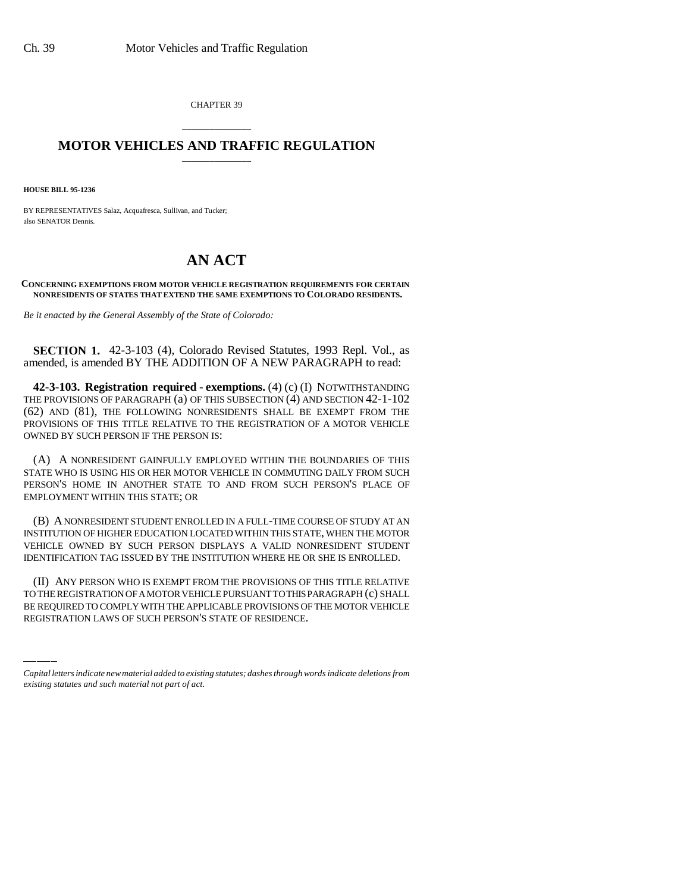CHAPTER 39

## \_\_\_\_\_\_\_\_\_\_\_\_\_\_\_ **MOTOR VEHICLES AND TRAFFIC REGULATION** \_\_\_\_\_\_\_\_\_\_\_\_\_\_\_

**HOUSE BILL 95-1236**

BY REPRESENTATIVES Salaz, Acquafresca, Sullivan, and Tucker; also SENATOR Dennis.

## **AN ACT**

**CONCERNING EXEMPTIONS FROM MOTOR VEHICLE REGISTRATION REQUIREMENTS FOR CERTAIN NONRESIDENTS OF STATES THAT EXTEND THE SAME EXEMPTIONS TO COLORADO RESIDENTS.**

*Be it enacted by the General Assembly of the State of Colorado:*

**SECTION 1.** 42-3-103 (4), Colorado Revised Statutes, 1993 Repl. Vol., as amended, is amended BY THE ADDITION OF A NEW PARAGRAPH to read:

**42-3-103. Registration required - exemptions.** (4) (c) (I) NOTWITHSTANDING THE PROVISIONS OF PARAGRAPH (a) OF THIS SUBSECTION (4) AND SECTION 42-1-102 (62) AND (81), THE FOLLOWING NONRESIDENTS SHALL BE EXEMPT FROM THE PROVISIONS OF THIS TITLE RELATIVE TO THE REGISTRATION OF A MOTOR VEHICLE OWNED BY SUCH PERSON IF THE PERSON IS:

(A) A NONRESIDENT GAINFULLY EMPLOYED WITHIN THE BOUNDARIES OF THIS STATE WHO IS USING HIS OR HER MOTOR VEHICLE IN COMMUTING DAILY FROM SUCH PERSON'S HOME IN ANOTHER STATE TO AND FROM SUCH PERSON'S PLACE OF EMPLOYMENT WITHIN THIS STATE; OR

(B) A NONRESIDENT STUDENT ENROLLED IN A FULL-TIME COURSE OF STUDY AT AN INSTITUTION OF HIGHER EDUCATION LOCATED WITHIN THIS STATE, WHEN THE MOTOR VEHICLE OWNED BY SUCH PERSON DISPLAYS A VALID NONRESIDENT STUDENT IDENTIFICATION TAG ISSUED BY THE INSTITUTION WHERE HE OR SHE IS ENROLLED.

(II) ANY PERSON WHO IS EXEMPT FROM THE PROVISIONS OF THIS TITLE RELATIVE TO THE REGISTRATION OF A MOTOR VEHICLE PURSUANT TO THIS PARAGRAPH (c) SHALL BE REQUIRED TO COMPLY WITH THE APPLICABLE PROVISIONS OF THE MOTOR VEHICLE REGISTRATION LAWS OF SUCH PERSON'S STATE OF RESIDENCE.

*Capital letters indicate new material added to existing statutes; dashes through words indicate deletions from existing statutes and such material not part of act.*